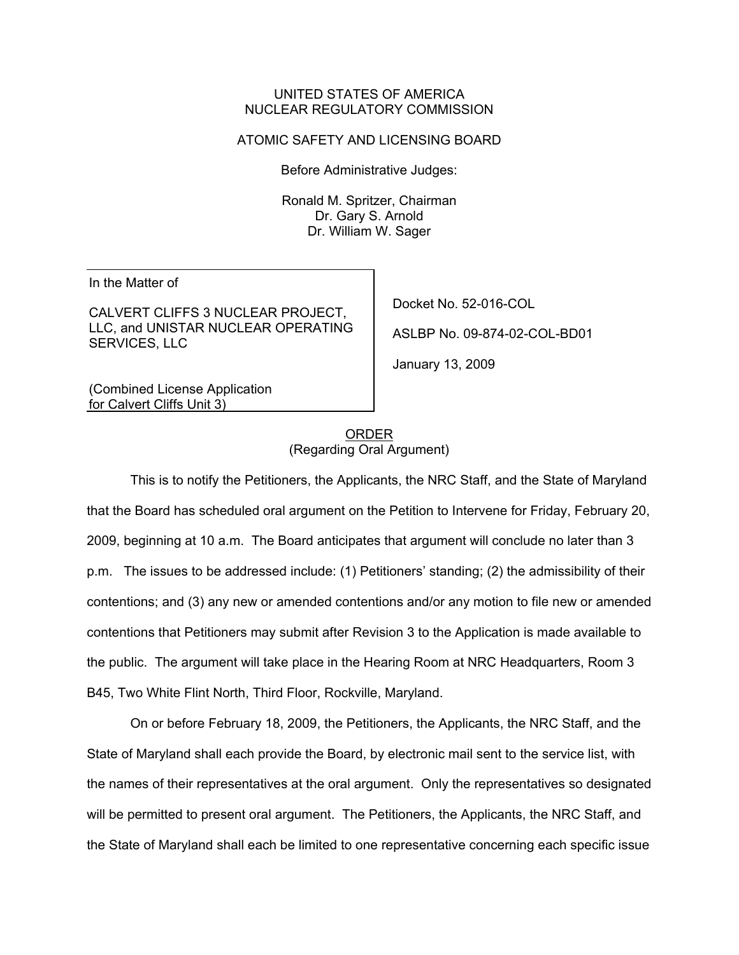## UNITED STATES OF AMERICA NUCLEAR REGULATORY COMMISSION

## ATOMIC SAFETY AND LICENSING BOARD

Before Administrative Judges:

Ronald M. Spritzer, Chairman Dr. Gary S. Arnold Dr. William W. Sager

In the Matter of

CALVERT CLIFFS 3 NUCLEAR PROJECT, LLC, and UNISTAR NUCLEAR OPERATING SERVICES, LLC

Docket No. 52-016-COL

ASLBP No. 09-874-02-COL-BD01

January 13, 2009

(Combined License Application for Calvert Cliffs Unit 3)

> ORDER (Regarding Oral Argument)

This is to notify the Petitioners, the Applicants, the NRC Staff, and the State of Maryland that the Board has scheduled oral argument on the Petition to Intervene for Friday, February 20, 2009, beginning at 10 a.m. The Board anticipates that argument will conclude no later than 3 p.m. The issues to be addressed include: (1) Petitioners' standing; (2) the admissibility of their contentions; and (3) any new or amended contentions and/or any motion to file new or amended contentions that Petitioners may submit after Revision 3 to the Application is made available to the public. The argument will take place in the Hearing Room at NRC Headquarters, Room 3 B45, Two White Flint North, Third Floor, Rockville, Maryland.

On or before February 18, 2009, the Petitioners, the Applicants, the NRC Staff, and the State of Maryland shall each provide the Board, by electronic mail sent to the service list, with the names of their representatives at the oral argument. Only the representatives so designated will be permitted to present oral argument. The Petitioners, the Applicants, the NRC Staff, and the State of Maryland shall each be limited to one representative concerning each specific issue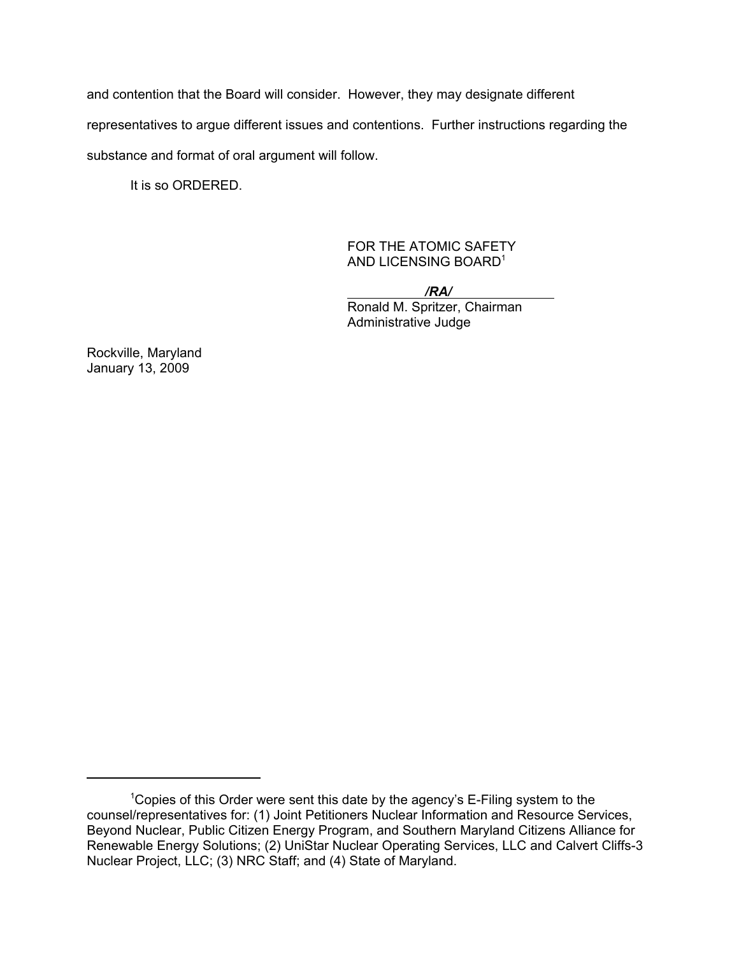and contention that the Board will consider. However, they may designate different representatives to argue different issues and contentions. Further instructions regarding the substance and format of oral argument will follow.

It is so ORDERED.

FOR THE ATOMIC SAFETY AND LICENSING BOARD1

 */RA/*  Ronald M. Spritzer, Chairman Administrative Judge

Rockville, Maryland January 13, 2009

<sup>&</sup>lt;sup>1</sup>Copies of this Order were sent this date by the agency's E-Filing system to the counsel/representatives for: (1) Joint Petitioners Nuclear Information and Resource Services, Beyond Nuclear, Public Citizen Energy Program, and Southern Maryland Citizens Alliance for Renewable Energy Solutions; (2) UniStar Nuclear Operating Services, LLC and Calvert Cliffs-3 Nuclear Project, LLC; (3) NRC Staff; and (4) State of Maryland.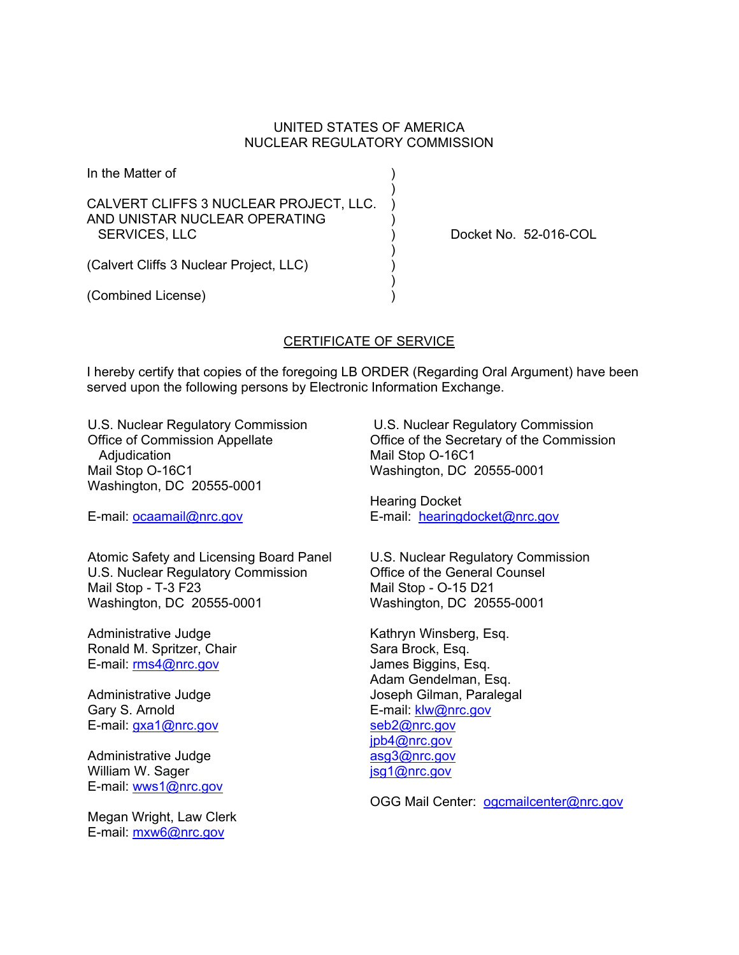## UNITED STATES OF AMERICA NUCLEAR REGULATORY COMMISSION

| In the Matter of                                                                                |  |
|-------------------------------------------------------------------------------------------------|--|
| CALVERT CLIFFS 3 NUCLEAR PROJECT, LLC.<br>AND UNISTAR NUCLEAR OPERATING<br><b>SERVICES, LLC</b> |  |
| (Calvert Cliffs 3 Nuclear Project, LLC)                                                         |  |

(Combined License) )

Docket No. 52-016-COL

## CERTIFICATE OF SERVICE

I hereby certify that copies of the foregoing LB ORDER (Regarding Oral Argument) have been served upon the following persons by Electronic Information Exchange.

U.S. Nuclear Regulatory Commission Office of Commission Appellate Adjudication Mail Stop O-16C1 Washington, DC 20555-0001

E-mail: ocaamail@nrc.gov

Atomic Safety and Licensing Board Panel U.S. Nuclear Regulatory Commission Mail Stop - T-3 F23 Washington, DC 20555-0001

Administrative Judge Ronald M. Spritzer, Chair E-mail: rms4@nrc.gov

Administrative Judge Gary S. Arnold E-mail: gxa1@nrc.gov

Administrative Judge William W. Sager E-mail: wws1@nrc.gov

Megan Wright, Law Clerk E-mail: mxw6@nrc.gov

 U.S. Nuclear Regulatory Commission Office of the Secretary of the Commission Mail Stop O-16C1 Washington, DC 20555-0001

Hearing Docket E-mail: hearingdocket@nrc.gov

U.S. Nuclear Regulatory Commission Office of the General Counsel Mail Stop - O-15 D21 Washington, DC 20555-0001

Kathryn Winsberg, Esq. Sara Brock, Esq. James Biggins, Esq. Adam Gendelman, Esq. Joseph Gilman, Paralegal E-mail: klw@nrc.gov seb2@nrc.gov jpb4@nrc.gov asg3@nrc.gov jsg1@nrc.gov

OGG Mail Center: ogcmailcenter@nrc.gov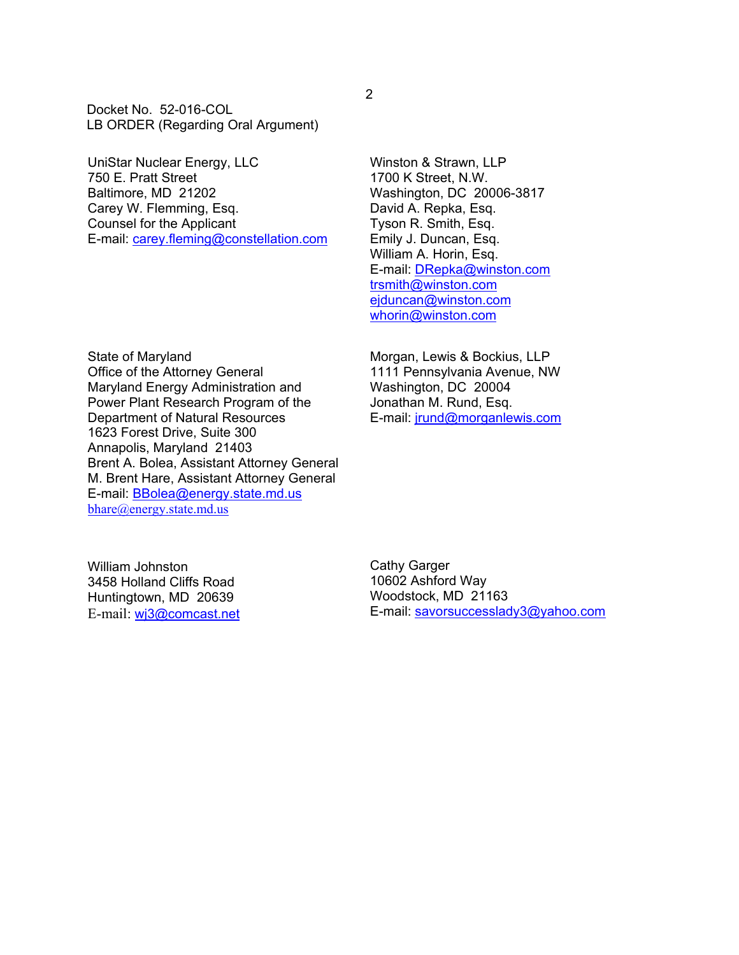Docket No. 52-016-COL LB ORDER (Regarding Oral Argument)

UniStar Nuclear Energy, LLC 750 E. Pratt Street Baltimore, MD 21202 Carey W. Flemming, Esq. Counsel for the Applicant E-mail: carey.fleming@constellation.com Winston & Strawn, LLP 1700 K Street, N.W. Washington, DC 20006-3817 David A. Repka, Esq. Tyson R. Smith, Esq. Emily J. Duncan, Esq. William A. Horin, Esq. E-mail: DRepka@winston.com trsmith@winston.com ejduncan@winston.com whorin@winston.com

State of Maryland Office of the Attorney General Maryland Energy Administration and Power Plant Research Program of the Department of Natural Resources 1623 Forest Drive, Suite 300 Annapolis, Maryland 21403 Brent A. Bolea, Assistant Attorney General M. Brent Hare, Assistant Attorney General E-mail: BBolea@energy.state.md.us bhare@energy.state.md.us

Morgan, Lewis & Bockius, LLP 1111 Pennsylvania Avenue, NW Washington, DC 20004 Jonathan M. Rund, Esq. E-mail: jrund@morganlewis.com

William Johnston 3458 Holland Cliffs Road Huntingtown, MD 20639 E-mail: wj3@comcast.net Cathy Garger 10602 Ashford Way Woodstock, MD 21163 E-mail: savorsuccesslady3@yahoo.com